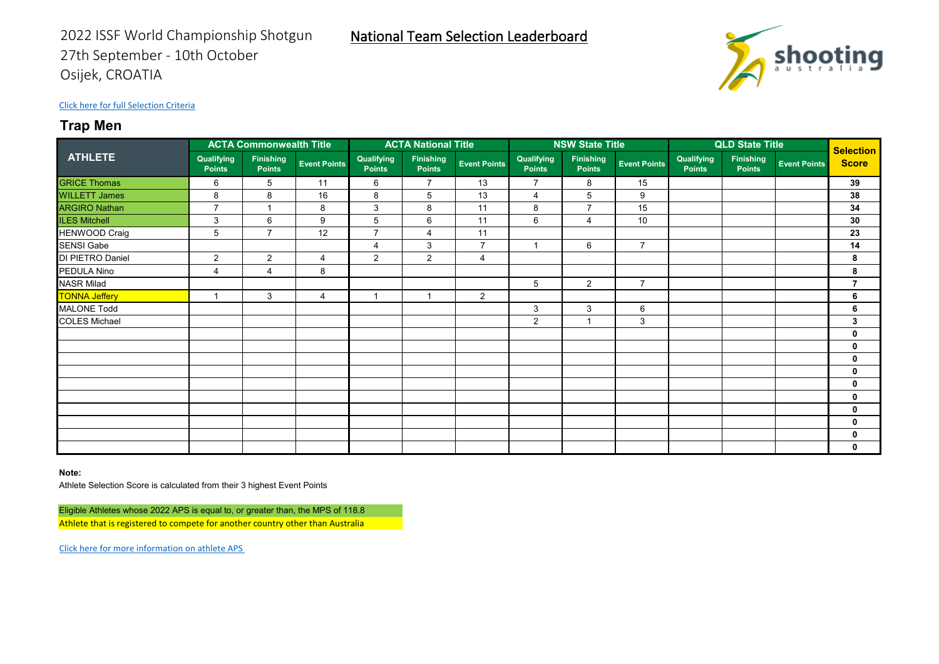

# **Trap Men**

|                      | <b>ACTA Commonwealth Title</b> |                                   |                     | <b>ACTA National Title</b>  |                                   |                     |                             | <b>NSW State Title</b>            |                     | <b>QLD State Title</b>      |                            |                     | Selection      |
|----------------------|--------------------------------|-----------------------------------|---------------------|-----------------------------|-----------------------------------|---------------------|-----------------------------|-----------------------------------|---------------------|-----------------------------|----------------------------|---------------------|----------------|
| <b>ATHLETE</b>       | Qualifying<br><b>Points</b>    | <b>Finishing</b><br><b>Points</b> | <b>Event Points</b> | Qualifying<br><b>Points</b> | <b>Finishing</b><br><b>Points</b> | <b>Event Points</b> | Qualifying<br><b>Points</b> | <b>Finishing</b><br><b>Points</b> | <b>Event Points</b> | Qualifying<br><b>Points</b> | Finishing<br><b>Points</b> | <b>Event Points</b> | <b>Score</b>   |
| <b>GRICE Thomas</b>  | 6                              | 5                                 | 11                  | 6                           | $\overline{7}$                    | 13                  | $\overline{7}$              | 8                                 | 15                  |                             |                            |                     | 39             |
| <b>WILLETT James</b> | 8                              | 8                                 | 16                  | 8                           | 5                                 | 13                  | $\overline{4}$              | 5                                 | 9                   |                             |                            |                     | 38             |
| <b>ARGIRO Nathan</b> | $\overline{7}$                 | 1                                 | 8                   | 3                           | 8                                 | 11                  | 8                           | $\overline{7}$                    | 15                  |                             |                            |                     | 34             |
| <b>ILES Mitchell</b> | 3                              | 6                                 | 9                   | 5                           | 6                                 | 11                  | 6                           | 4                                 | 10                  |                             |                            |                     | 30             |
| <b>HENWOOD Craig</b> | 5                              | $\overline{7}$                    | 12                  | $\overline{7}$              | $\overline{4}$                    | 11                  |                             |                                   |                     |                             |                            |                     | 23             |
| <b>SENSI Gabe</b>    |                                |                                   |                     | 4                           | 3                                 | $\overline{7}$      | $\overline{1}$              | 6                                 | $\overline{7}$      |                             |                            |                     | 14             |
| DI PIETRO Daniel     | $\overline{2}$                 | 2                                 | 4                   | $\overline{2}$              | 2                                 | 4                   |                             |                                   |                     |                             |                            |                     | 8              |
| PEDULA Nino          | $\overline{4}$                 | $\overline{4}$                    | 8                   |                             |                                   |                     |                             |                                   |                     |                             |                            |                     | 8              |
| <b>NASR Milad</b>    |                                |                                   |                     |                             |                                   |                     | 5                           | $\overline{2}$                    | $\overline{7}$      |                             |                            |                     | $\overline{7}$ |
| <b>TONNA Jeffery</b> |                                | 3                                 | 4                   |                             |                                   | $\overline{2}$      |                             |                                   |                     |                             |                            |                     | 6              |
| <b>MALONE Todd</b>   |                                |                                   |                     |                             |                                   |                     | 3                           | 3                                 | 6                   |                             |                            |                     | 6              |
| <b>COLES Michael</b> |                                |                                   |                     |                             |                                   |                     | $\overline{2}$              |                                   | 3                   |                             |                            |                     | 3              |
|                      |                                |                                   |                     |                             |                                   |                     |                             |                                   |                     |                             |                            |                     | $\mathbf 0$    |
|                      |                                |                                   |                     |                             |                                   |                     |                             |                                   |                     |                             |                            |                     | 0              |
|                      |                                |                                   |                     |                             |                                   |                     |                             |                                   |                     |                             |                            |                     | $\mathbf 0$    |
|                      |                                |                                   |                     |                             |                                   |                     |                             |                                   |                     |                             |                            |                     | $\mathbf 0$    |
|                      |                                |                                   |                     |                             |                                   |                     |                             |                                   |                     |                             |                            |                     | $\mathbf 0$    |
|                      |                                |                                   |                     |                             |                                   |                     |                             |                                   |                     |                             |                            |                     | 0              |
|                      |                                |                                   |                     |                             |                                   |                     |                             |                                   |                     |                             |                            |                     | 0              |
|                      |                                |                                   |                     |                             |                                   |                     |                             |                                   |                     |                             |                            |                     | 0              |
|                      |                                |                                   |                     |                             |                                   |                     |                             |                                   |                     |                             |                            |                     | $\mathbf 0$    |
|                      |                                |                                   |                     |                             |                                   |                     |                             |                                   |                     |                             |                            |                     | 0              |

**Note:**

Athlete Selection Score is calculated from their 3 highest Event Points

Eligible Athletes whose 2022 APS is equal to, or greater than, the MPS of 118.8 Athlete that is registered to compete for another country other than Australia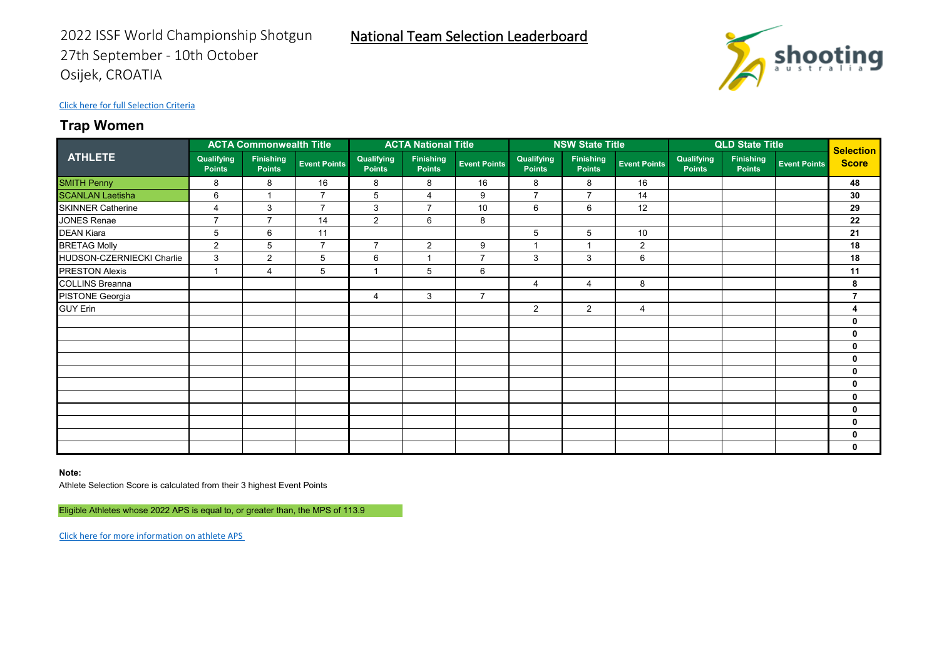## **Trap Women**

|                           | <b>ACTA Commonwealth Title</b> |                                   |                     | <b>ACTA National Title</b>  |                                   |                     |                             | <b>NSW State Title</b>            |                     | <b>QLD State Title</b>      |                                   |                     | <b>Selection</b> |
|---------------------------|--------------------------------|-----------------------------------|---------------------|-----------------------------|-----------------------------------|---------------------|-----------------------------|-----------------------------------|---------------------|-----------------------------|-----------------------------------|---------------------|------------------|
| <b>ATHLETE</b>            | Qualifying<br><b>Points</b>    | <b>Finishing</b><br><b>Points</b> | <b>Event Points</b> | Qualifying<br><b>Points</b> | <b>Finishing</b><br><b>Points</b> | <b>Event Points</b> | Qualifying<br><b>Points</b> | <b>Finishing</b><br><b>Points</b> | <b>Event Points</b> | Qualifying<br><b>Points</b> | <b>Finishing</b><br><b>Points</b> | <b>Event Points</b> | <b>Score</b>     |
| <b>SMITH Penny</b>        | 8                              | 8                                 | 16                  | 8                           | 8                                 | 16                  | 8                           | 8                                 | 16                  |                             |                                   |                     | 48               |
| <b>SCANLAN Laetisha</b>   | 6                              | 1                                 | $\overline{7}$      | 5                           | $\overline{4}$                    | 9                   | $\overline{7}$              | $\overline{7}$                    | 14                  |                             |                                   |                     | 30               |
| <b>SKINNER Catherine</b>  | $\overline{4}$                 | 3                                 | $\overline{7}$      | 3                           | $\overline{7}$                    | 10                  | 6                           | 6                                 | 12                  |                             |                                   |                     | 29               |
| JONES Renae               | $\overline{7}$                 | $\overline{7}$                    | 14                  | $\overline{2}$              | 6                                 | 8                   |                             |                                   |                     |                             |                                   |                     | 22               |
| <b>DEAN Kiara</b>         | 5                              | 6                                 | 11                  |                             |                                   |                     | 5                           | 5                                 | 10                  |                             |                                   |                     | 21               |
| <b>BRETAG Molly</b>       | $\overline{2}$                 | 5                                 | $\overline{7}$      | $\overline{7}$              | 2                                 | 9                   |                             |                                   | $\overline{2}$      |                             |                                   |                     | 18               |
| HUDSON-CZERNIECKI Charlie | 3                              | $\overline{2}$                    | 5                   | 6                           | $\overline{\phantom{a}}$          | $\overline{7}$      | 3                           | 3                                 | 6                   |                             |                                   |                     | 18               |
| <b>PRESTON Alexis</b>     | $\mathbf{1}$                   | 4                                 | 5                   | $\blacktriangleleft$        | 5                                 | 6                   |                             |                                   |                     |                             |                                   |                     | 11               |
| <b>COLLINS Breanna</b>    |                                |                                   |                     |                             |                                   |                     | $\overline{4}$              | $\overline{4}$                    | 8                   |                             |                                   |                     | 8                |
| PISTONE Georgia           |                                |                                   |                     | 4                           | 3                                 | $\overline{7}$      |                             |                                   |                     |                             |                                   |                     | $\overline{7}$   |
| <b>GUY Erin</b>           |                                |                                   |                     |                             |                                   |                     | $\overline{2}$              | $\overline{2}$                    | 4                   |                             |                                   |                     | 4                |
|                           |                                |                                   |                     |                             |                                   |                     |                             |                                   |                     |                             |                                   |                     | 0                |
|                           |                                |                                   |                     |                             |                                   |                     |                             |                                   |                     |                             |                                   |                     | $\bf{0}$         |
|                           |                                |                                   |                     |                             |                                   |                     |                             |                                   |                     |                             |                                   |                     | 0                |
|                           |                                |                                   |                     |                             |                                   |                     |                             |                                   |                     |                             |                                   |                     | $\bf{0}$         |
|                           |                                |                                   |                     |                             |                                   |                     |                             |                                   |                     |                             |                                   |                     | 0                |
|                           |                                |                                   |                     |                             |                                   |                     |                             |                                   |                     |                             |                                   |                     | $\bf{0}$         |
|                           |                                |                                   |                     |                             |                                   |                     |                             |                                   |                     |                             |                                   |                     | 0                |
|                           |                                |                                   |                     |                             |                                   |                     |                             |                                   |                     |                             |                                   |                     | $\bf{0}$         |
|                           |                                |                                   |                     |                             |                                   |                     |                             |                                   |                     |                             |                                   |                     | 0                |
|                           |                                |                                   |                     |                             |                                   |                     |                             |                                   |                     |                             |                                   |                     | $\bf{0}$         |
|                           |                                |                                   |                     |                             |                                   |                     |                             |                                   |                     |                             |                                   |                     | 0                |

National Team Selection Leaderboard

**Note:**

Athlete Selection Score is calculated from their 3 highest Event Points

Eligible Athletes whose 2022 APS is equal to, or greater than, the MPS of 113.9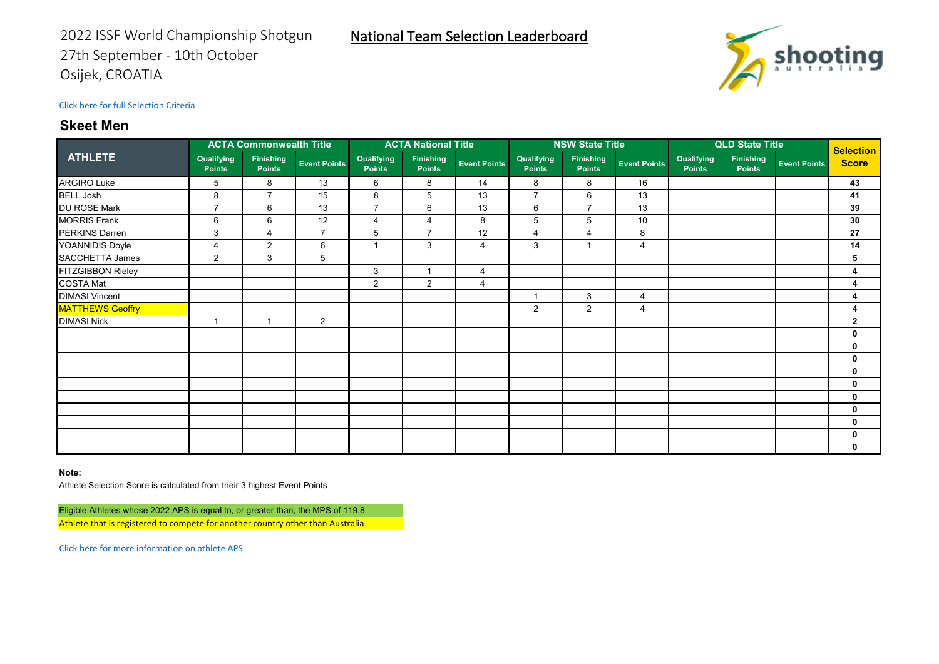

## **Skeet Men**

|                          | <b>ACTA Commonwealth Title</b> |                                   |                     | <b>ACTA National Title</b>  |                                   |                     |                             | <b>NSW State Title</b>            |                     | <b>QLD State Title</b>      |                            |                     | Selection      |
|--------------------------|--------------------------------|-----------------------------------|---------------------|-----------------------------|-----------------------------------|---------------------|-----------------------------|-----------------------------------|---------------------|-----------------------------|----------------------------|---------------------|----------------|
| <b>ATHLETE</b>           | Qualifying<br><b>Points</b>    | <b>Finishing</b><br><b>Points</b> | <b>Event Points</b> | Qualifying<br><b>Points</b> | <b>Finishing</b><br><b>Points</b> | <b>Event Points</b> | Qualifying<br><b>Points</b> | <b>Finishing</b><br><b>Points</b> | <b>Event Points</b> | Qualifying<br><b>Points</b> | Finishing<br><b>Points</b> | <b>Event Points</b> | <b>Score</b>   |
| <b>ARGIRO Luke</b>       | 5                              | 8                                 | 13                  | 6                           | 8                                 | 14                  | 8                           | 8                                 | 16                  |                             |                            |                     | 43             |
| <b>BELL Josh</b>         | 8                              | $\overline{7}$                    | 15                  | 8                           | 5                                 | 13                  | $\overline{7}$              | 6                                 | 13                  |                             |                            |                     | 41             |
| <b>DU ROSE Mark</b>      | $\overline{7}$                 | 6                                 | 13                  | $\overline{7}$              | 6                                 | 13                  | 6                           | $\overline{7}$                    | 13                  |                             |                            |                     | 39             |
| <b>MORRIS Frank</b>      | 6                              | 6                                 | 12                  | 4                           | 4                                 | 8                   | 5                           | 5                                 | 10                  |                             |                            |                     | 30             |
| PERKINS Darren           | 3                              | $\overline{4}$                    | $\overline{7}$      | 5                           | $\overline{7}$                    | 12                  | $\overline{4}$              | $\overline{4}$                    | 8                   |                             |                            |                     | 27             |
| YOANNIDIS Doyle          | $\overline{4}$                 | $\overline{2}$                    | 6                   | -1                          | 3                                 | 4                   | 3                           | 1                                 | 4                   |                             |                            |                     | 14             |
| SACCHETTA James          | $\overline{2}$                 | 3                                 | 5                   |                             |                                   |                     |                             |                                   |                     |                             |                            |                     | 5              |
| <b>FITZGIBBON Rieley</b> |                                |                                   |                     | 3                           |                                   | 4                   |                             |                                   |                     |                             |                            |                     | 4              |
| <b>COSTA Mat</b>         |                                |                                   |                     | 2                           | $\mathbf{2}$                      | 4                   |                             |                                   |                     |                             |                            |                     | 4              |
| <b>DIMASI Vincent</b>    |                                |                                   |                     |                             |                                   |                     |                             | 3                                 | 4                   |                             |                            |                     | 4              |
| <b>MATTHEWS Geoffry</b>  |                                |                                   |                     |                             |                                   |                     | 2                           | $\overline{2}$                    | 4                   |                             |                            |                     | 4              |
| <b>DIMASI Nick</b>       |                                |                                   | $\overline{2}$      |                             |                                   |                     |                             |                                   |                     |                             |                            |                     | $\overline{2}$ |
|                          |                                |                                   |                     |                             |                                   |                     |                             |                                   |                     |                             |                            |                     | $\bf{0}$       |
|                          |                                |                                   |                     |                             |                                   |                     |                             |                                   |                     |                             |                            |                     | 0              |
|                          |                                |                                   |                     |                             |                                   |                     |                             |                                   |                     |                             |                            |                     | $\bf{0}$       |
|                          |                                |                                   |                     |                             |                                   |                     |                             |                                   |                     |                             |                            |                     | 0              |
|                          |                                |                                   |                     |                             |                                   |                     |                             |                                   |                     |                             |                            |                     | 0              |
|                          |                                |                                   |                     |                             |                                   |                     |                             |                                   |                     |                             |                            |                     | 0              |
|                          |                                |                                   |                     |                             |                                   |                     |                             |                                   |                     |                             |                            |                     | $\bf{0}$       |
|                          |                                |                                   |                     |                             |                                   |                     |                             |                                   |                     |                             |                            |                     | 0              |
|                          |                                |                                   |                     |                             |                                   |                     |                             |                                   |                     |                             |                            |                     | $\bf{0}$       |
|                          |                                |                                   |                     |                             |                                   |                     |                             |                                   |                     |                             |                            |                     | 0              |

**Note:**

Athlete Selection Score is calculated from their 3 highest Event Points

Eligible Athletes whose 2022 APS is equal to, or greater than, the MPS of 119.8 Athlete that is registered to compete for another country other than Australia